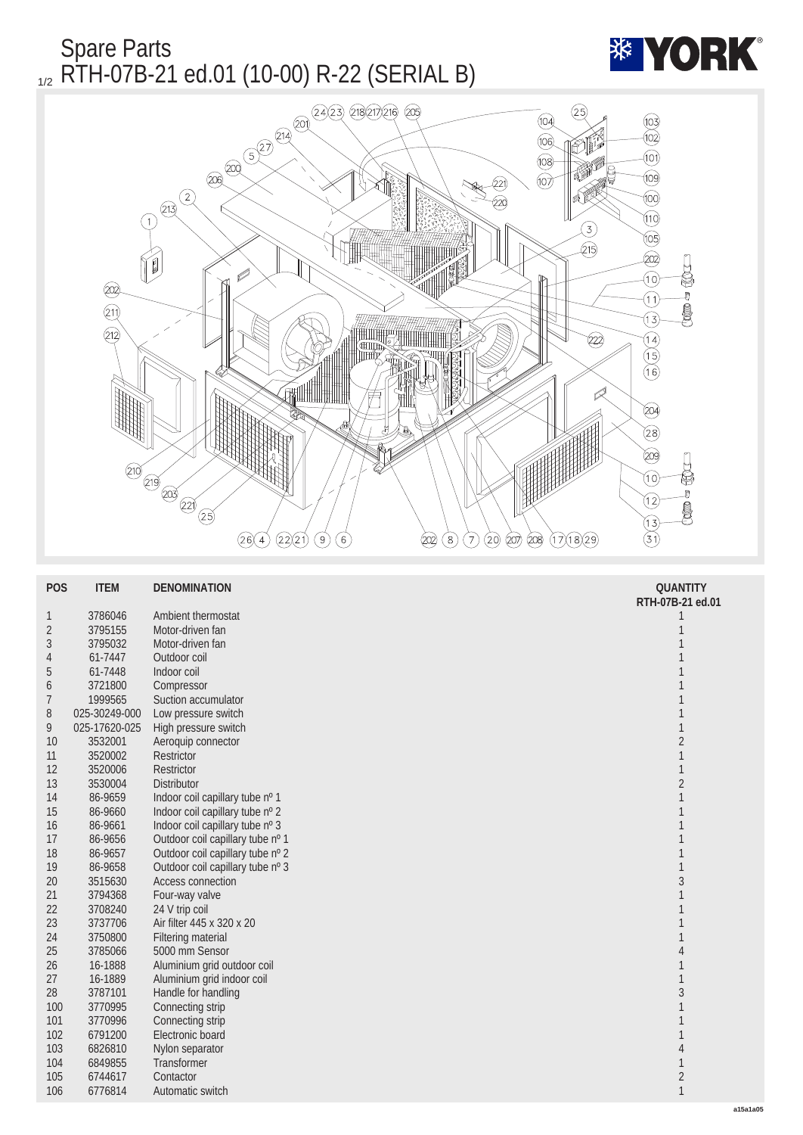Spare Parts 1/2 RTH-07B-21 ed.01 (10-00) R-22 (SERIAL B)



|                  |                    | ₩<br>$\overline{219}$ $\overline{219}$ $\overline{229}$ $\overline{221}$<br>(25)<br>(22)21<br>$\circledcirc$<br>(17)(18)(29)<br>(26)(4)<br>(6)<br>$\left( \mathbf{8}\right)$<br>$\left(7\right)$<br>(207)<br>208)<br>(202)<br>(20) | ⑳<br>to the control of the control of the control of the control of the control of the control of the control of th<br>Separate the control of the control of the control of the control of the control of the control of the control<br>$\widehat{\mathfrak{g}}$<br>Ū<br>12)<br>j<br>$\widehat{13}$<br>$\widehat{\mathsf{(3)}}$ |
|------------------|--------------------|------------------------------------------------------------------------------------------------------------------------------------------------------------------------------------------------------------------------------------|----------------------------------------------------------------------------------------------------------------------------------------------------------------------------------------------------------------------------------------------------------------------------------------------------------------------------------|
|                  |                    |                                                                                                                                                                                                                                    |                                                                                                                                                                                                                                                                                                                                  |
| <b>POS</b>       | <b>ITEM</b>        | <b>DENOMINATION</b>                                                                                                                                                                                                                | <b>QUANTITY</b><br>RTH-07B-21 ed.01                                                                                                                                                                                                                                                                                              |
| $\mathbf{1}$     | 3786046            | <b>Ambient thermostat</b>                                                                                                                                                                                                          | $\mathbf{1}$                                                                                                                                                                                                                                                                                                                     |
| $\sqrt{2}$       | 3795155            | Motor-driven fan                                                                                                                                                                                                                   | $\mathbf{1}$                                                                                                                                                                                                                                                                                                                     |
| $\boldsymbol{3}$ | 3795032            | Motor-driven fan                                                                                                                                                                                                                   | $\mathbf{1}$                                                                                                                                                                                                                                                                                                                     |
| 4                | 61-7447            | Outdoor coil                                                                                                                                                                                                                       | $\mathbf{1}$                                                                                                                                                                                                                                                                                                                     |
| $\overline{5}$   | 61-7448            | Indoor coil                                                                                                                                                                                                                        | $\mathbf{1}$                                                                                                                                                                                                                                                                                                                     |
| $6\phantom{1}6$  | 3721800            | Compressor                                                                                                                                                                                                                         | $\mathbf{1}$                                                                                                                                                                                                                                                                                                                     |
| $\overline{7}$   | 1999565            | Suction accumulator                                                                                                                                                                                                                | $\mathbf{1}$                                                                                                                                                                                                                                                                                                                     |
| 8                | 025-30249-000      | Low pressure switch                                                                                                                                                                                                                | $\mathbf{1}$                                                                                                                                                                                                                                                                                                                     |
| 9                | 025-17620-025      | High pressure switch                                                                                                                                                                                                               | $\mathbf{1}$                                                                                                                                                                                                                                                                                                                     |
| 10               | 3532001            | Aeroquip connector                                                                                                                                                                                                                 | $\sqrt{2}$                                                                                                                                                                                                                                                                                                                       |
| 11<br>12         | 3520002<br>3520006 | <b>Restrictor</b><br><b>Restrictor</b>                                                                                                                                                                                             | $\mathbf{1}$<br>$\mathbf{1}$                                                                                                                                                                                                                                                                                                     |
| 13               | 3530004            | <b>Distributor</b>                                                                                                                                                                                                                 | $\sqrt{2}$                                                                                                                                                                                                                                                                                                                       |
| 14               | 86-9659            | Indoor coil capillary tube nº 1                                                                                                                                                                                                    | $\mathbf{1}$                                                                                                                                                                                                                                                                                                                     |
| 15               | 86-9660            | Indoor coil capillary tube nº 2                                                                                                                                                                                                    | $\mathbf{1}$                                                                                                                                                                                                                                                                                                                     |
| 16               | 86-9661            | Indoor coil capillary tube nº 3                                                                                                                                                                                                    | $\mathbf{1}$                                                                                                                                                                                                                                                                                                                     |
| 17               | 86-9656            | Outdoor coil capillary tube nº 1                                                                                                                                                                                                   | $\mathbf{1}$                                                                                                                                                                                                                                                                                                                     |
| 18               | 86-9657            | Outdoor coil capillary tube nº 2                                                                                                                                                                                                   | $\mathbf{1}$                                                                                                                                                                                                                                                                                                                     |
| 19               | 86-9658            | Outdoor coil capillary tube nº 3                                                                                                                                                                                                   | $\mathbf{1}$                                                                                                                                                                                                                                                                                                                     |
| 20               | 3515630            | Access connection                                                                                                                                                                                                                  | $\overline{3}$                                                                                                                                                                                                                                                                                                                   |
| 21               | 3794368            | Four-way valve                                                                                                                                                                                                                     | $\mathbf{1}$                                                                                                                                                                                                                                                                                                                     |
| 22               | 3708240            | 24 V trip coil                                                                                                                                                                                                                     | $\mathbf{1}$                                                                                                                                                                                                                                                                                                                     |
| 23               | 3737706            | Air filter 445 x 320 x 20                                                                                                                                                                                                          | $\mathbf{1}$                                                                                                                                                                                                                                                                                                                     |
| 24               | 3750800            | <b>Filtering material</b>                                                                                                                                                                                                          | $\mathbf{1}$                                                                                                                                                                                                                                                                                                                     |
| 25               | 3785066<br>16-1888 | 5000 mm Sensor                                                                                                                                                                                                                     | $\pmb{4}$                                                                                                                                                                                                                                                                                                                        |
| 26<br>27         | 16-1889            | Aluminium grid outdoor coil<br>Aluminium grid indoor coil                                                                                                                                                                          | $\mathbf{1}$<br>$\mathbf{1}$                                                                                                                                                                                                                                                                                                     |
| 28               | 3787101            | Handle for handling                                                                                                                                                                                                                | $\overline{3}$                                                                                                                                                                                                                                                                                                                   |
| 100              | 3770995            | Connecting strip                                                                                                                                                                                                                   | $\mathbf{1}$                                                                                                                                                                                                                                                                                                                     |
| 101              | 3770996            | Connecting strip                                                                                                                                                                                                                   | $\mathbf{1}$                                                                                                                                                                                                                                                                                                                     |
| 102              | 6791200            | Electronic board                                                                                                                                                                                                                   | $\mathbf{1}$                                                                                                                                                                                                                                                                                                                     |
| 103              | 6826810            | Nylon separator                                                                                                                                                                                                                    | $\pmb{4}$                                                                                                                                                                                                                                                                                                                        |
| 104              | 6849855            | Transformer                                                                                                                                                                                                                        | $\,1$                                                                                                                                                                                                                                                                                                                            |
| 105              | 6744617            | Contactor                                                                                                                                                                                                                          | $\overline{c}$                                                                                                                                                                                                                                                                                                                   |
| 106              | 6776814            | Automatic switch                                                                                                                                                                                                                   | $\mathbf{1}$                                                                                                                                                                                                                                                                                                                     |